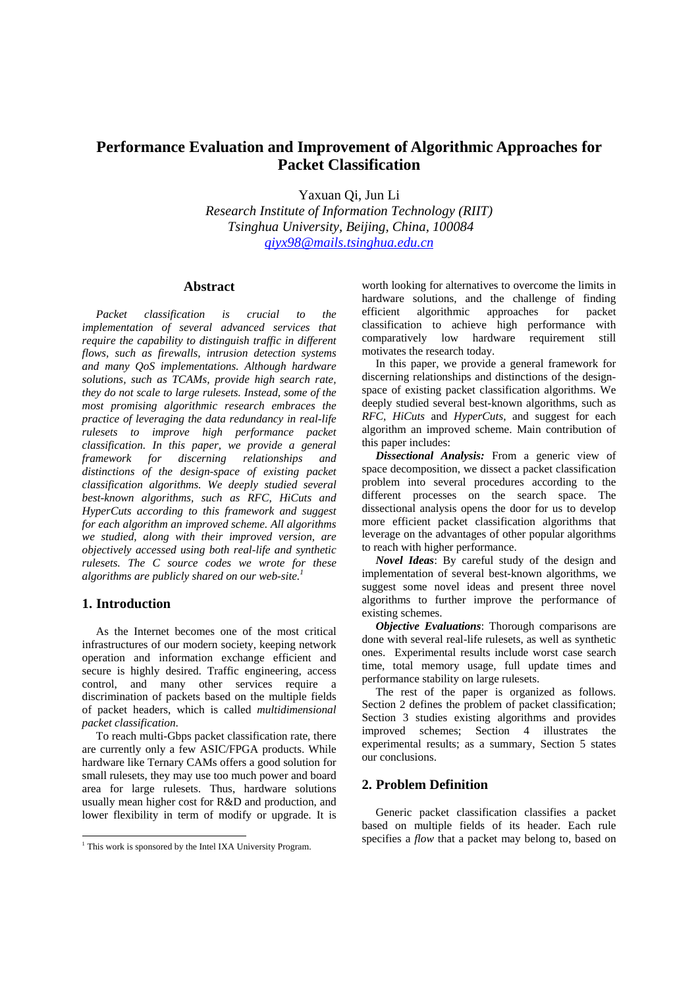# **Performance Evaluation and Improvement of Algorithmic Approaches for Packet Classification**

Yaxuan Qi, Jun Li

*Research Institute of Information Technology (RIIT) Tsinghua University, Beijing, China, 100084 qiyx98@mails.tsinghua.edu.cn*

### **Abstract**

*Packet classification is crucial to the implementation of several advanced services that require the capability to distinguish traffic in different flows, such as firewalls, intrusion detection systems and many QoS implementations. Although hardware solutions, such as TCAMs, provide high search rate, they do not scale to large rulesets. Instead, some of the most promising algorithmic research embraces the practice of leveraging the data redundancy in real-life rulesets to improve high performance packet classification. In this paper, we provide a general framework for discerning relationships and distinctions of the design-space of existing packet classification algorithms. We deeply studied several best-known algorithms, such as RFC, HiCuts and HyperCuts according to this framework and suggest for each algorithm an improved scheme. All algorithms we studied, along with their improved version, are objectively accessed using both real-life and synthetic rulesets. The C source codes we wrote for these algorithms are publicly shared on our web-site.1*

### **1. Introduction**

1

As the Internet becomes one of the most critical infrastructures of our modern society, keeping network operation and information exchange efficient and secure is highly desired. Traffic engineering, access control, and many other services require a discrimination of packets based on the multiple fields of packet headers, which is called *multidimensional packet classification*.

To reach multi-Gbps packet classification rate, there are currently only a few ASIC/FPGA products. While hardware like Ternary CAMs offers a good solution for small rulesets, they may use too much power and board area for large rulesets. Thus, hardware solutions usually mean higher cost for R&D and production, and lower flexibility in term of modify or upgrade. It is

worth looking for alternatives to overcome the limits in hardware solutions, and the challenge of finding efficient algorithmic approaches for packet classification to achieve high performance with comparatively low hardware requirement still motivates the research today.

In this paper, we provide a general framework for discerning relationships and distinctions of the designspace of existing packet classification algorithms. We deeply studied several best-known algorithms, such as *RFC*, *HiCuts* and *HyperCuts*, and suggest for each algorithm an improved scheme. Main contribution of this paper includes:

*Dissectional Analysis:* From a generic view of space decomposition, we dissect a packet classification problem into several procedures according to the different processes on the search space. The dissectional analysis opens the door for us to develop more efficient packet classification algorithms that leverage on the advantages of other popular algorithms to reach with higher performance.

*Novel Ideas*: By careful study of the design and implementation of several best-known algorithms, we suggest some novel ideas and present three novel algorithms to further improve the performance of existing schemes.

*Objective Evaluations*: Thorough comparisons are done with several real-life rulesets, as well as synthetic ones. Experimental results include worst case search time, total memory usage, full update times and performance stability on large rulesets.

The rest of the paper is organized as follows. Section 2 defines the problem of packet classification; Section 3 studies existing algorithms and provides improved schemes; Section 4 illustrates the experimental results; as a summary, Section 5 states our conclusions.

### **2. Problem Definition**

Generic packet classification classifies a packet based on multiple fields of its header. Each rule specifies a *flow* that a packet may belong to, based on

<sup>&</sup>lt;sup>1</sup> This work is sponsored by the Intel IXA University Program.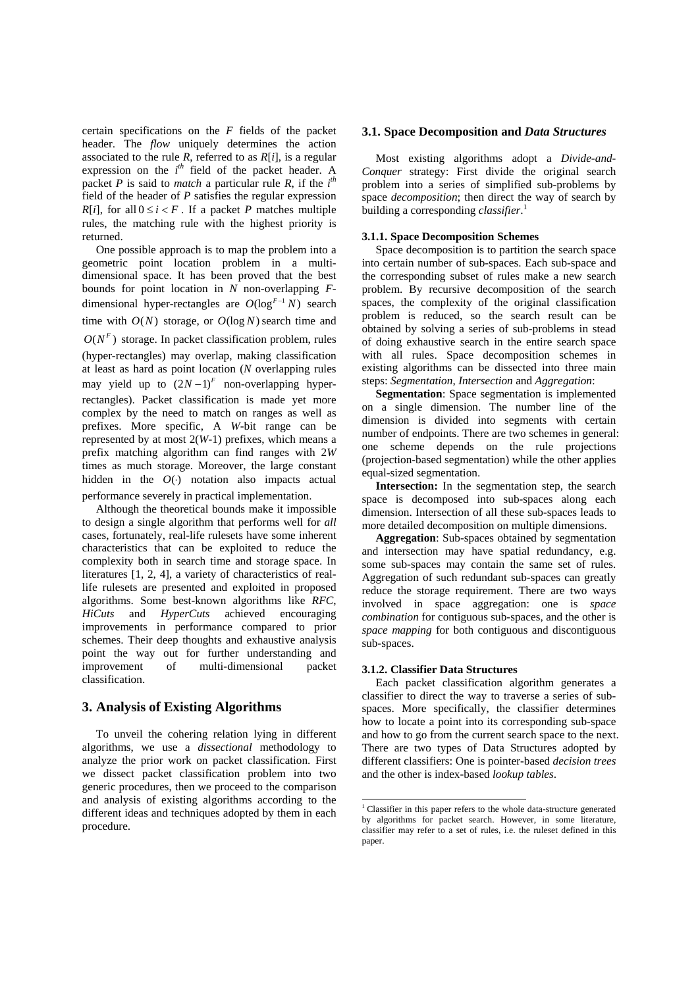certain specifications on the *F* fields of the packet header. The *flow* uniquely determines the action associated to the rule  $R$ , referred to as  $R[i]$ , is a regular expression on the  $i<sup>th</sup>$  field of the packet header. A packet *P* is said to *match* a particular rule *R*, if the  $i^{th}$ field of the header of *P* satisfies the regular expression *R*[*i*], for all  $0 \le i \le F$ . If a packet *P* matches multiple rules, the matching rule with the highest priority is returned.

One possible approach is to map the problem into a geometric point location problem in a multidimensional space. It has been proved that the best bounds for point location in *N* non-overlapping *F*dimensional hyper-rectangles are  $O(\log^{F-1} N)$  search time with  $O(N)$  storage, or  $O(\log N)$  search time and  $O(N^F)$  storage. In packet classification problem, rules (hyper-rectangles) may overlap, making classification at least as hard as point location (*N* overlapping rules may yield up to  $(2N-1)^F$  non-overlapping hyperrectangles). Packet classification is made yet more complex by the need to match on ranges as well as prefixes. More specific, A *W*-bit range can be represented by at most 2(*W*-1) prefixes, which means a prefix matching algorithm can find ranges with 2*W* times as much storage. Moreover, the large constant hidden in the  $O(·)$  notation also impacts actual performance severely in practical implementation.

Although the theoretical bounds make it impossible to design a single algorithm that performs well for *all*  cases, fortunately, real-life rulesets have some inherent characteristics that can be exploited to reduce the complexity both in search time and storage space. In literatures [1, 2, 4], a variety of characteristics of reallife rulesets are presented and exploited in proposed algorithms. Some best-known algorithms like *RFC*, *HiCuts* and *HyperCuts* achieved encouraging improvements in performance compared to prior schemes. Their deep thoughts and exhaustive analysis point the way out for further understanding and improvement of multi-dimensional packet classification.

### **3. Analysis of Existing Algorithms**

To unveil the cohering relation lying in different algorithms, we use a *dissectional* methodology to analyze the prior work on packet classification. First we dissect packet classification problem into two generic procedures, then we proceed to the comparison and analysis of existing algorithms according to the different ideas and techniques adopted by them in each procedure.

### **3.1. Space Decomposition and** *Data Structures*

Most existing algorithms adopt a *Divide-and-Conquer* strategy: First divide the original search problem into a series of simplified sub-problems by space *decomposition*; then direct the way of search by building a corresponding *classifier*. 1

### **3.1.1. Space Decomposition Schemes**

Space decomposition is to partition the search space into certain number of sub-spaces. Each sub-space and the corresponding subset of rules make a new search problem. By recursive decomposition of the search spaces, the complexity of the original classification problem is reduced, so the search result can be obtained by solving a series of sub-problems in stead of doing exhaustive search in the entire search space with all rules. Space decomposition schemes in existing algorithms can be dissected into three main steps: *Segmentation*, *Intersection* and *Aggregation*:

**Segmentation**: Space segmentation is implemented on a single dimension. The number line of the dimension is divided into segments with certain number of endpoints. There are two schemes in general: one scheme depends on the rule projections (projection-based segmentation) while the other applies equal-sized segmentation.

**Intersection:** In the segmentation step, the search space is decomposed into sub-spaces along each dimension. Intersection of all these sub-spaces leads to more detailed decomposition on multiple dimensions.

**Aggregation**: Sub-spaces obtained by segmentation and intersection may have spatial redundancy, e.g. some sub-spaces may contain the same set of rules. Aggregation of such redundant sub-spaces can greatly reduce the storage requirement. There are two ways involved in space aggregation: one is *space combination* for contiguous sub-spaces, and the other is *space mapping* for both contiguous and discontiguous sub-spaces.

#### **3.1.2. Classifier Data Structures**

l

Each packet classification algorithm generates a classifier to direct the way to traverse a series of subspaces. More specifically, the classifier determines how to locate a point into its corresponding sub-space and how to go from the current search space to the next. There are two types of Data Structures adopted by different classifiers: One is pointer-based *decision trees* and the other is index-based *lookup tables*.

<sup>&</sup>lt;sup>1</sup> Classifier in this paper refers to the whole data-structure generated by algorithms for packet search. However, in some literature, classifier may refer to a set of rules, i.e. the ruleset defined in this paper.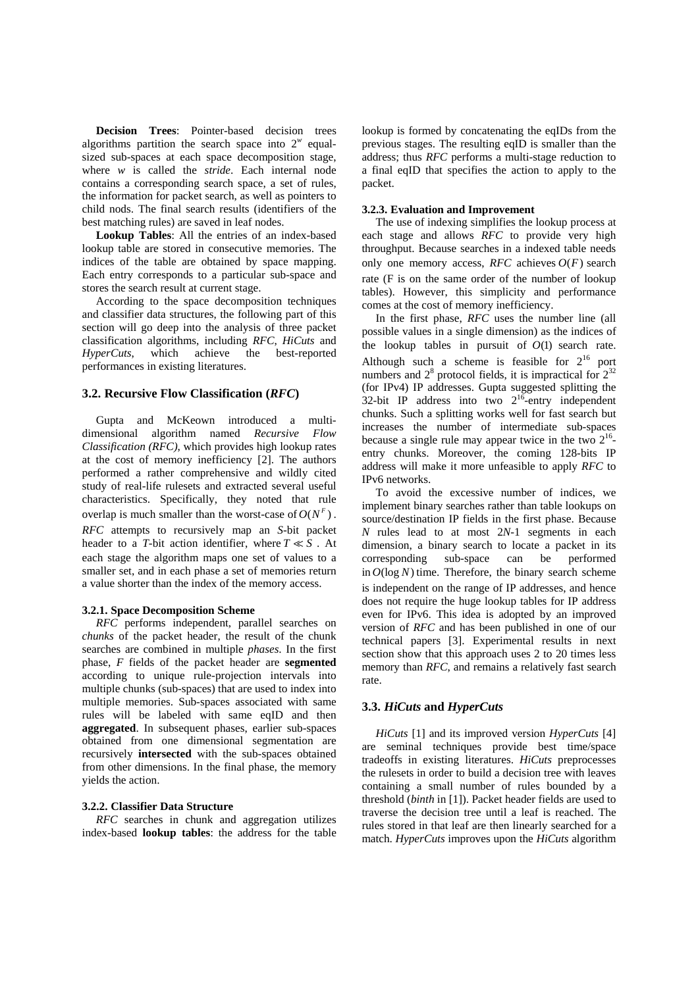**Decision Trees**: Pointer-based decision trees algorithms partition the search space into  $2^w$  equalsized sub-spaces at each space decomposition stage, where *w* is called the *stride*. Each internal node contains a corresponding search space, a set of rules, the information for packet search, as well as pointers to child nods. The final search results (identifiers of the best matching rules) are saved in leaf nodes.

**Lookup Tables**: All the entries of an index-based lookup table are stored in consecutive memories. The indices of the table are obtained by space mapping. Each entry corresponds to a particular sub-space and stores the search result at current stage.

According to the space decomposition techniques and classifier data structures, the following part of this section will go deep into the analysis of three packet classification algorithms, including *RFC*, *HiCuts* and *HyperCuts*, which achieve the best-reported performances in existing literatures.

#### **3.2. Recursive Flow Classification (***RFC***)**

Gupta and McKeown introduced a multidimensional algorithm named *Recursive Flow Classification (RFC)*, which provides high lookup rates at the cost of memory inefficiency [2]. The authors performed a rather comprehensive and wildly cited study of real-life rulesets and extracted several useful characteristics. Specifically, they noted that rule overlap is much smaller than the worst-case of  $O(N^F)$ . *RFC* attempts to recursively map an *S*-bit packet header to a *T*-bit action identifier, where  $T \ll S$ . At each stage the algorithm maps one set of values to a smaller set, and in each phase a set of memories return a value shorter than the index of the memory access.

#### **3.2.1. Space Decomposition Scheme**

*RFC* performs independent, parallel searches on *chunks* of the packet header, the result of the chunk searches are combined in multiple *phases*. In the first phase, *F* fields of the packet header are **segmented** according to unique rule-projection intervals into multiple chunks (sub-spaces) that are used to index into multiple memories. Sub-spaces associated with same rules will be labeled with same eqID and then **aggregated**. In subsequent phases, earlier sub-spaces obtained from one dimensional segmentation are recursively **intersected** with the sub-spaces obtained from other dimensions. In the final phase, the memory yields the action.

#### **3.2.2. Classifier Data Structure**

*RFC* searches in chunk and aggregation utilizes index-based **lookup tables**: the address for the table

lookup is formed by concatenating the eqIDs from the previous stages. The resulting eqID is smaller than the address; thus *RFC* performs a multi-stage reduction to a final eqID that specifies the action to apply to the packet.

#### **3.2.3. Evaluation and Improvement**

The use of indexing simplifies the lookup process at each stage and allows *RFC* to provide very high throughput. Because searches in a indexed table needs only one memory access,  $RFC$  achieves  $O(F)$  search rate (F is on the same order of the number of lookup tables). However, this simplicity and performance comes at the cost of memory inefficiency.

In the first phase, *RFC* uses the number line (all possible values in a single dimension) as the indices of the lookup tables in pursuit of *O*(1) search rate. Although such a scheme is feasible for  $2^{16}$  port numbers and  $2^8$  protocol fields, it is impractical for  $2^{32}$ (for IPv4) IP addresses. Gupta suggested splitting the  $32$ -bit IP address into two  $2^{16}$ -entry independent chunks. Such a splitting works well for fast search but increases the number of intermediate sub-spaces because a single rule may appear twice in the two  $2^{16}$ entry chunks. Moreover, the coming 128-bits IP address will make it more unfeasible to apply *RFC* to IPv6 networks.

To avoid the excessive number of indices, we implement binary searches rather than table lookups on source/destination IP fields in the first phase. Because *N* rules lead to at most 2*N*-1 segments in each dimension, a binary search to locate a packet in its corresponding sub-space can be performed in  $O(\log N)$  time. Therefore, the binary search scheme is independent on the range of IP addresses, and hence does not require the huge lookup tables for IP address even for IPv6. This idea is adopted by an improved version of *RFC* and has been published in one of our technical papers [3]. Experimental results in next section show that this approach uses 2 to 20 times less memory than *RFC*, and remains a relatively fast search rate.

#### **3.3.** *HiCuts* **and** *HyperCuts*

*HiCuts* [1] and its improved version *HyperCuts* [4] are seminal techniques provide best time/space tradeoffs in existing literatures. *HiCuts* preprocesses the rulesets in order to build a decision tree with leaves containing a small number of rules bounded by a threshold (*binth* in [1]). Packet header fields are used to traverse the decision tree until a leaf is reached. The rules stored in that leaf are then linearly searched for a match. *HyperCuts* improves upon the *HiCuts* algorithm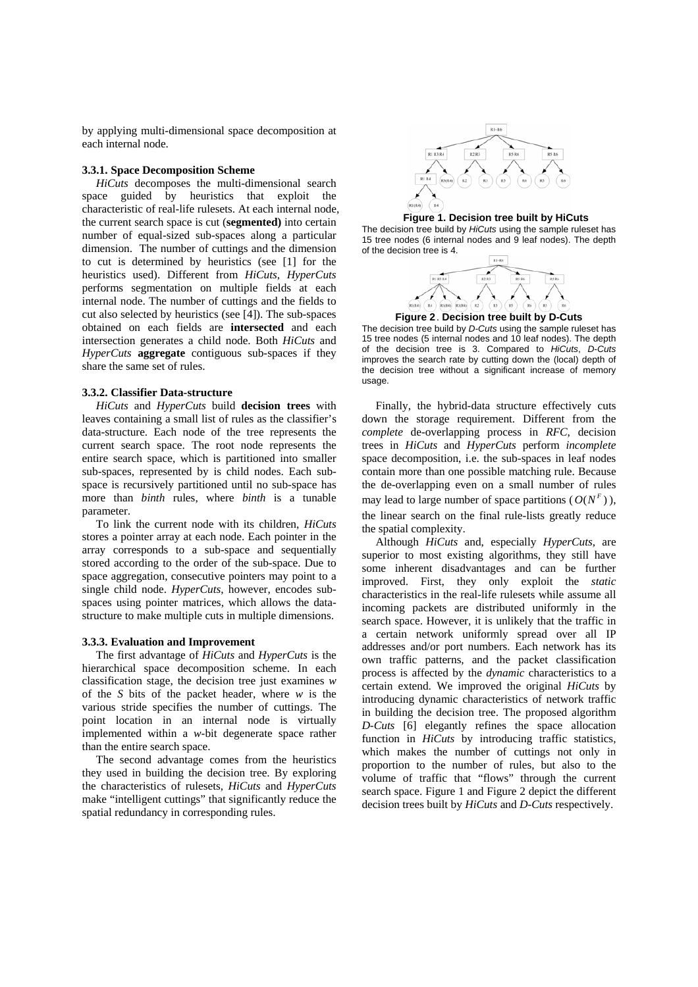by applying multi-dimensional space decomposition at each internal node.

### **3.3.1. Space Decomposition Scheme**

*HiCuts* decomposes the multi-dimensional search space guided by heuristics that exploit the characteristic of real-life rulesets. At each internal node, the current search space is cut (**segmented)** into certain number of equal-sized sub-spaces along a particular dimension. The number of cuttings and the dimension to cut is determined by heuristics (see [1] for the heuristics used). Different from *HiCuts*, *HyperCuts* performs segmentation on multiple fields at each internal node. The number of cuttings and the fields to cut also selected by heuristics (see [4]). The sub-spaces obtained on each fields are **intersected** and each intersection generates a child node. Both *HiCuts* and *HyperCuts* **aggregate** contiguous sub-spaces if they share the same set of rules.

#### **3.3.2. Classifier Data-structure**

*HiCuts* and *HyperCuts* build **decision trees** with leaves containing a small list of rules as the classifier's data-structure. Each node of the tree represents the current search space. The root node represents the entire search space, which is partitioned into smaller sub-spaces, represented by is child nodes. Each subspace is recursively partitioned until no sub-space has more than *binth* rules, where *binth* is a tunable parameter.

To link the current node with its children, *HiCuts* stores a pointer array at each node. Each pointer in the array corresponds to a sub-space and sequentially stored according to the order of the sub-space. Due to space aggregation, consecutive pointers may point to a single child node. *HyperCuts*, however, encodes subspaces using pointer matrices, which allows the datastructure to make multiple cuts in multiple dimensions.

#### **3.3.3. Evaluation and Improvement**

The first advantage of *HiCuts* and *HyperCuts* is the hierarchical space decomposition scheme. In each classification stage, the decision tree just examines *w* of the *S* bits of the packet header, where *w* is the various stride specifies the number of cuttings. The point location in an internal node is virtually implemented within a *w*-bit degenerate space rather than the entire search space.

The second advantage comes from the heuristics they used in building the decision tree. By exploring the characteristics of rulesets, *HiCuts* and *HyperCuts* make "intelligent cuttings" that significantly reduce the spatial redundancy in corresponding rules.







**Figure 2** . **Decision tree built by D-Cuts**

The decision tree build by *D-Cuts* using the sample ruleset has 15 tree nodes (5 internal nodes and 10 leaf nodes). The depth of the decision tree is 3. Compared to *HiCuts*, *D-Cuts* improves the search rate by cutting down the (local) depth of the decision tree without a significant increase of memory usage.

Finally, the hybrid-data structure effectively cuts down the storage requirement. Different from the *complete* de-overlapping process in *RFC*, decision trees in *HiCuts* and *HyperCuts* perform *incomplete* space decomposition, i.e. the sub-spaces in leaf nodes contain more than one possible matching rule. Because the de-overlapping even on a small number of rules may lead to large number of space partitions ( $O(N^F)$ ), the linear search on the final rule-lists greatly reduce the spatial complexity.

Although *HiCuts* and, especially *HyperCuts*, are superior to most existing algorithms, they still have some inherent disadvantages and can be further improved. First, they only exploit the *static* characteristics in the real-life rulesets while assume all incoming packets are distributed uniformly in the search space. However, it is unlikely that the traffic in a certain network uniformly spread over all IP addresses and/or port numbers. Each network has its own traffic patterns, and the packet classification process is affected by the *dynamic* characteristics to a certain extend. We improved the original *HiCuts* by introducing dynamic characteristics of network traffic in building the decision tree. The proposed algorithm *D-Cuts* [6] elegantly refines the space allocation function in *HiCuts* by introducing traffic statistics, which makes the number of cuttings not only in proportion to the number of rules, but also to the volume of traffic that "flows" through the current search space. Figure 1 and Figure 2 depict the different decision trees built by *HiCuts* and *D-Cuts* respectively.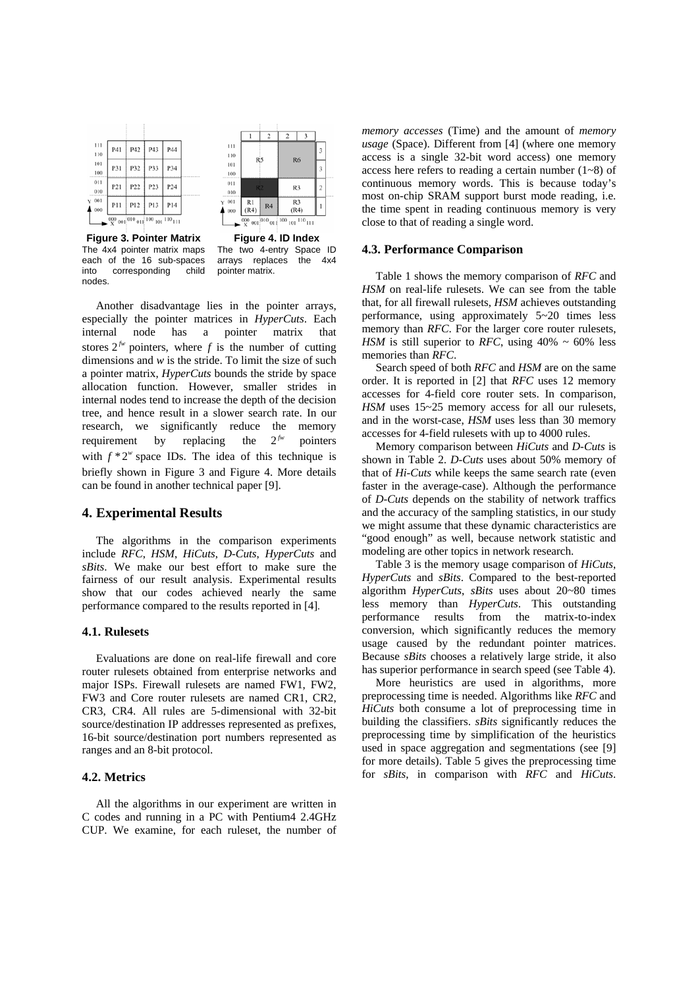

|     |                | $\overline{c}$ | 2              |             |   |
|-----|----------------|----------------|----------------|-------------|---|
| 111 | R5             |                |                |             | 3 |
| 110 |                |                |                |             |   |
| 101 |                |                | R <sub>6</sub> |             | 3 |
| 100 |                |                |                |             |   |
| 011 | R <sub>2</sub> |                | R <sub>3</sub> |             | 2 |
| 010 |                |                |                |             |   |
| 001 | R1             | R <sub>4</sub> | R3             |             | 1 |
| 000 | (R4)           |                | (R4)           |             |   |
|     | $000_{001}$    | $010_{01}$     | $100_{101}$    | $110_{111}$ |   |

**Figure 3. Pointer Matrix**  The 4x4 pointer matrix maps each of the 16 sub-spaces into corresponding child nodes.

**Figure 4. ID Index**  The two 4-entry Space ID arrays replaces the 4x4 pointer matrix.

Another disadvantage lies in the pointer arrays, especially the pointer matrices in *HyperCuts*. Each internal node has a pointer matrix that stores  $2^{f_w}$  pointers, where *f* is the number of cutting dimensions and  $w$  is the stride. To limit the size of such a pointer matrix, *HyperCuts* bounds the stride by space allocation function. However, smaller strides in internal nodes tend to increase the depth of the decision tree, and hence result in a slower search rate. In our research, we significantly reduce the memory requirement by replacing the  $2^{f_w}$  pointers with  $f * 2^w$  space IDs. The idea of this technique is briefly shown in Figure 3 and Figure 4. More details can be found in another technical paper [9].

### **4. Experimental Results**

The algorithms in the comparison experiments include *RFC*, *HSM*, *HiCuts*, *D-Cuts*, *HyperCuts* and *sBits*. We make our best effort to make sure the fairness of our result analysis. Experimental results show that our codes achieved nearly the same performance compared to the results reported in [4].

#### **4.1. Rulesets**

Evaluations are done on real-life firewall and core router rulesets obtained from enterprise networks and major ISPs. Firewall rulesets are named FW1, FW2, FW3 and Core router rulesets are named CR1, CR2, CR3, CR4. All rules are 5-dimensional with 32-bit source/destination IP addresses represented as prefixes, 16-bit source/destination port numbers represented as ranges and an 8-bit protocol.

### **4.2. Metrics**

All the algorithms in our experiment are written in C codes and running in a PC with Pentium4 2.4GHz CUP. We examine, for each ruleset, the number of

*memory accesses* (Time) and the amount of *memory usage* (Space). Different from [4] (where one memory access is a single 32-bit word access) one memory access here refers to reading a certain number  $(1-8)$  of continuous memory words. This is because today's most on-chip SRAM support burst mode reading, i.e. the time spent in reading continuous memory is very close to that of reading a single word.

### **4.3. Performance Comparison**

Table 1 shows the memory comparison of *RFC* and *HSM* on real-life rulesets. We can see from the table that, for all firewall rulesets, *HSM* achieves outstanding performance, using approximately 5~20 times less memory than *RFC*. For the larger core router rulesets, *HSM* is still superior to *RFC*, using  $40\% \sim 60\%$  less memories than *RFC*.

Search speed of both *RFC* and *HSM* are on the same order. It is reported in [2] that *RFC* uses 12 memory accesses for 4-field core router sets. In comparison, *HSM* uses 15~25 memory access for all our rulesets, and in the worst-case, *HSM* uses less than 30 memory accesses for 4-field rulesets with up to 4000 rules.

Memory comparison between *HiCuts* and *D-Cuts* is shown in Table 2. *D-Cuts* uses about 50% memory of that of *Hi-Cuts* while keeps the same search rate (even faster in the average-case). Although the performance of *D-Cuts* depends on the stability of network traffics and the accuracy of the sampling statistics, in our study we might assume that these dynamic characteristics are "good enough" as well, because network statistic and modeling are other topics in network research.

Table 3 is the memory usage comparison of *HiCuts*, *HyperCuts* and *sBits*. Compared to the best-reported algorithm *HyperCuts*, *sBits* uses about 20~80 times less memory than *HyperCuts*. This outstanding performance results from the matrix-to-index conversion, which significantly reduces the memory usage caused by the redundant pointer matrices. Because *sBits* chooses a relatively large stride, it also has superior performance in search speed (see Table 4).

More heuristics are used in algorithms, more preprocessing time is needed. Algorithms like *RFC* and *HiCuts* both consume a lot of preprocessing time in building the classifiers. *sBits* significantly reduces the preprocessing time by simplification of the heuristics used in space aggregation and segmentations (see [9] for more details). Table 5 gives the preprocessing time for *sBits*, in comparison with *RFC* and *HiCuts*.